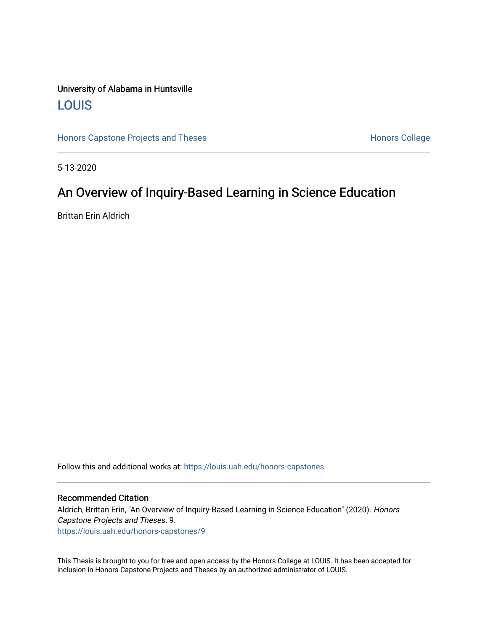## University of Alabama in Huntsville [LOUIS](https://louis.uah.edu/)

[Honors Capstone Projects and Theses](https://louis.uah.edu/honors-capstones) **Honors College** Honors College

5-13-2020

# An Overview of Inquiry-Based Learning in Science Education

Brittan Erin Aldrich

Follow this and additional works at: [https://louis.uah.edu/honors-capstones](https://louis.uah.edu/honors-capstones?utm_source=louis.uah.edu%2Fhonors-capstones%2F9&utm_medium=PDF&utm_campaign=PDFCoverPages) 

#### Recommended Citation

Aldrich, Brittan Erin, "An Overview of Inquiry-Based Learning in Science Education" (2020). Honors Capstone Projects and Theses. 9. [https://louis.uah.edu/honors-capstones/9](https://louis.uah.edu/honors-capstones/9?utm_source=louis.uah.edu%2Fhonors-capstones%2F9&utm_medium=PDF&utm_campaign=PDFCoverPages) 

This Thesis is brought to you for free and open access by the Honors College at LOUIS. It has been accepted for inclusion in Honors Capstone Projects and Theses by an authorized administrator of LOUIS.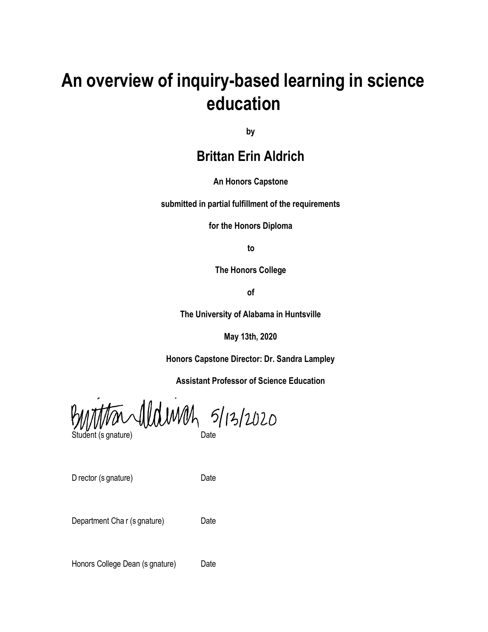# **An overview of inquiry-based learning in science education**

**by**

# **Brittan Erin Aldrich**

**An Honors Capstone**

**submitted in partial fulfillment of the requirements**

**for the Honors Diploma**

**to**

**The Honors College**

**of**

**The University of Alabama in Huntsville**

**May 13th, 2020**

**Honors Capstone Director: Dr. Sandra Lampley**

**Assistant Professor of Science Education**

thandldwah 5/13/2020 Ķ Student (s gnature) Date

D rector (s gnature) Date

Department Cha r (s gnature) Date

Honors College Dean (s gnature) Date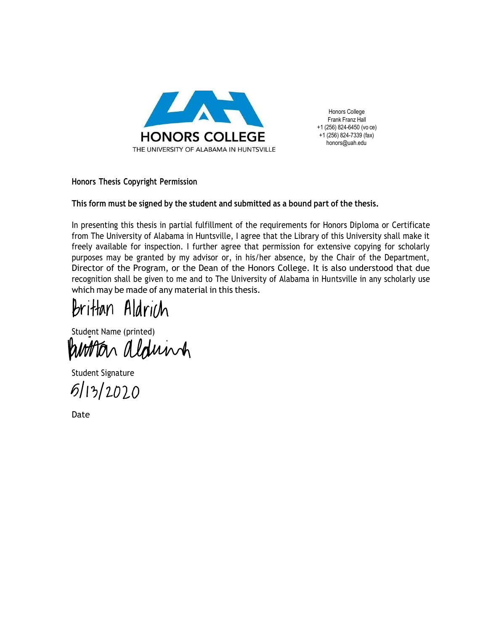

Honors College Frank Franz Hall +1 (256) 824-6450 (vo ce) +1 (256) 824-7339 (fax) [honors@uah.edu](mailto:honors@uah.edu)

**Honors Thesis Copyright Permission**

#### **This form must be signed by the student and submitted as a bound part of the thesis.**

In presenting this thesis in partial fulfillment of the requirements for Honors Diploma or Certificate from The University of Alabama in Huntsville, I agree that the Library of this University shall make it freely available for inspection. I further agree that permission for extensive copying for scholarly purposes may be granted by my advisor or, in his/her absence, by the Chair of the Department, Director of the Program, or the Dean of the Honors College. It is also understood that due recognition shall be given to me and to The University of Alabama in Huntsville in any scholarly use which may be made of any material in this thesis.

Brittan Aldrich

Student Name (printed)<br>WMMMMMMMM

 $6/13/2020$ Student Signature

Date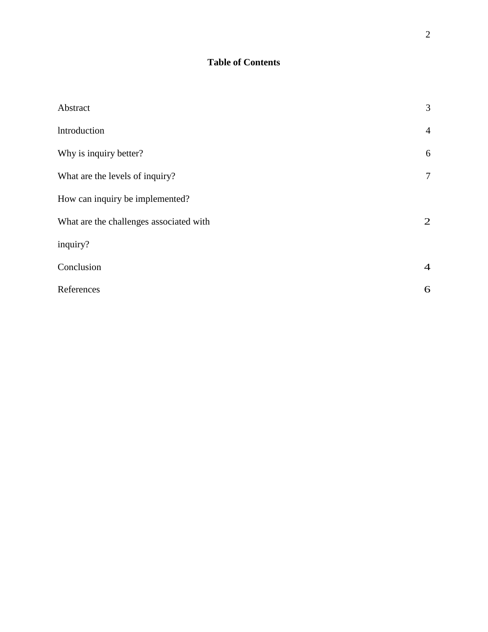## **Table of Contents**

| Abstract                                | 3              |
|-----------------------------------------|----------------|
| Introduction                            | $\overline{4}$ |
| Why is inquiry better?                  | 6              |
| What are the levels of inquiry?         | 7              |
| How can inquiry be implemented?         |                |
| What are the challenges associated with | 2              |
| inquiry?                                |                |
| Conclusion                              | $\overline{4}$ |
| References                              | 6              |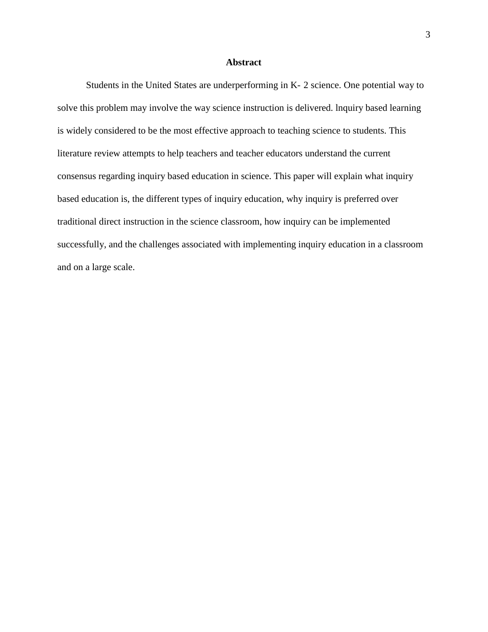#### **Abstract**

Students in the United States are underperforming in K- 2 science. One potential way to solve this problem may involve the way science instruction is delivered. lnquiry based learning is widely considered to be the most effective approach to teaching science to students. This literature review attempts to help teachers and teacher educators understand the current consensus regarding inquiry based education in science. This paper will explain what inquiry based education is, the different types of inquiry education, why inquiry is preferred over traditional direct instruction in the science classroom, how inquiry can be implemented successfully, and the challenges associated with implementing inquiry education in a classroom and on a large scale.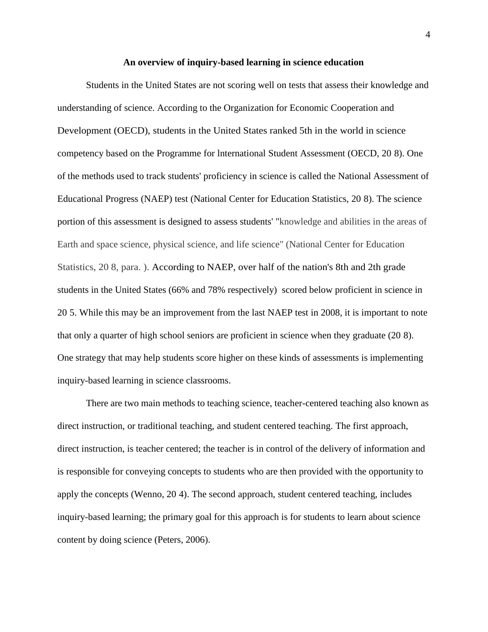#### **An overview of inquiry-based learning in science education**

Students in the United States are not scoring well on tests that assess their knowledge and understanding of science. According to the Organization for Economic Cooperation and Development (OECD), students in the United States ranked 5th in the world in science competency based on the Programme for lnternational Student Assessment (OECD, 20 8). One of the methods used to track students' proficiency in science is called the National Assessment of Educational Progress (NAEP) test (National Center for Education Statistics, 20 8). The science portion of this assessment is designed to assess students' "knowledge and abilities in the areas of Earth and space science, physical science, and life science" (National Center for Education Statistics, 20 8, para. ). According to NAEP, over half of the nation's 8th and 2th grade students in the United States (66% and 78% respectively) scored below proficient in science in 20 5. While this may be an improvement from the last NAEP test in 2008, it is important to note that only a quarter of high school seniors are proficient in science when they graduate (20 8). One strategy that may help students score higher on these kinds of assessments is implementing inquiry-based learning in science classrooms.

There are two main methods to teaching science, teacher-centered teaching also known as direct instruction, or traditional teaching, and student centered teaching. The first approach, direct instruction, is teacher centered; the teacher is in control of the delivery of information and is responsible for conveying concepts to students who are then provided with the opportunity to apply the concepts (Wenno, 20 4). The second approach, student centered teaching, includes inquiry-based learning; the primary goal for this approach is for students to learn about science content by doing science (Peters, 2006).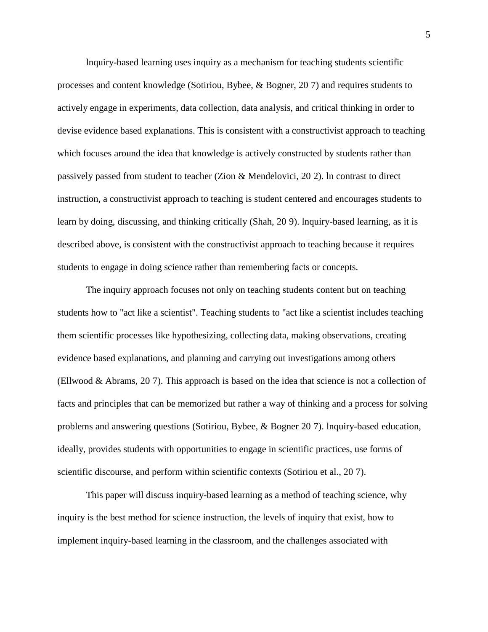lnquiry-based learning uses inquiry as a mechanism for teaching students scientific processes and content knowledge (Sotiriou, Bybee, & Bogner, 20 7) and requires students to actively engage in experiments, data collection, data analysis, and critical thinking in order to devise evidence based explanations. This is consistent with a constructivist approach to teaching which focuses around the idea that knowledge is actively constructed by students rather than passively passed from student to teacher (Zion & Mendelovici, 20 2). ln contrast to direct instruction, a constructivist approach to teaching is student centered and encourages students to learn by doing, discussing, and thinking critically (Shah, 20 9). lnquiry-based learning, as it is described above, is consistent with the constructivist approach to teaching because it requires students to engage in doing science rather than remembering facts or concepts.

The inquiry approach focuses not only on teaching students content but on teaching students how to "act like a scientist". Teaching students to "act like a scientist includes teaching them scientific processes like hypothesizing, collecting data, making observations, creating evidence based explanations, and planning and carrying out investigations among others (Ellwood & Abrams, 20 7). This approach is based on the idea that science is not a collection of facts and principles that can be memorized but rather a way of thinking and a process for solving problems and answering questions (Sotiriou, Bybee, & Bogner 20 7). lnquiry-based education, ideally, provides students with opportunities to engage in scientific practices, use forms of scientific discourse, and perform within scientific contexts (Sotiriou et al., 20 7).

This paper will discuss inquiry-based learning as a method of teaching science, why inquiry is the best method for science instruction, the levels of inquiry that exist, how to implement inquiry-based learning in the classroom, and the challenges associated with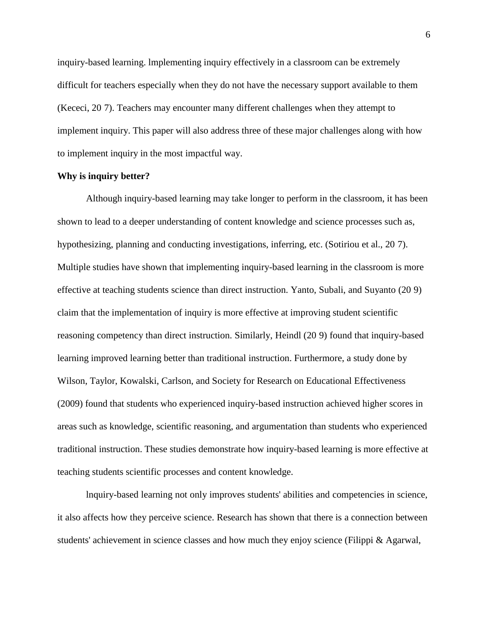inquiry-based learning. lmplementing inquiry effectively in a classroom can be extremely difficult for teachers especially when they do not have the necessary support available to them (Kececi, 20 7). Teachers may encounter many different challenges when they attempt to implement inquiry. This paper will also address three of these major challenges along with how to implement inquiry in the most impactful way.

#### **Why is inquiry better?**

Although inquiry-based learning may take longer to perform in the classroom, it has been shown to lead to a deeper understanding of content knowledge and science processes such as, hypothesizing, planning and conducting investigations, inferring, etc. (Sotiriou et al., 20 7). Multiple studies have shown that implementing inquiry-based learning in the classroom is more effective at teaching students science than direct instruction. Yanto, Subali, and Suyanto (20 9) claim that the implementation of inquiry is more effective at improving student scientific reasoning competency than direct instruction. Similarly, Heindl (20 9) found that inquiry-based learning improved learning better than traditional instruction. Furthermore, a study done by Wilson, Taylor, Kowalski, Carlson, and Society for Research on Educational Effectiveness (2009) found that students who experienced inquiry-based instruction achieved higher scores in areas such as knowledge, scientific reasoning, and argumentation than students who experienced traditional instruction. These studies demonstrate how inquiry-based learning is more effective at teaching students scientific processes and content knowledge.

lnquiry-based learning not only improves students' abilities and competencies in science, it also affects how they perceive science. Research has shown that there is a connection between students' achievement in science classes and how much they enjoy science (Filippi & Agarwal,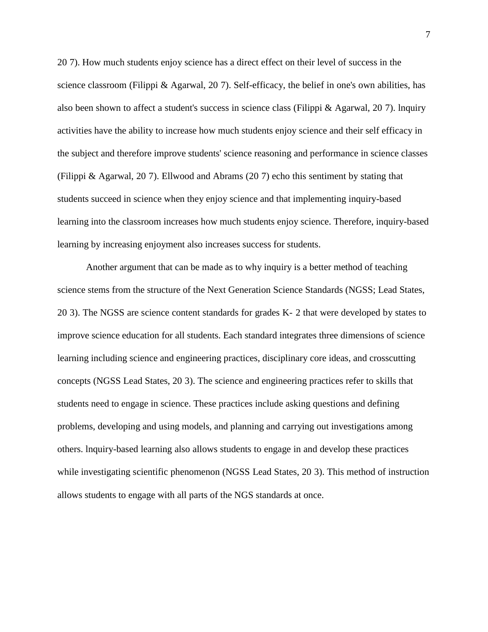20 7). How much students enjoy science has a direct effect on their level of success in the science classroom (Filippi & Agarwal, 20 7). Self-efficacy, the belief in one's own abilities, has also been shown to affect a student's success in science class (Filippi & Agarwal, 20 7). lnquiry activities have the ability to increase how much students enjoy science and their self efficacy in the subject and therefore improve students' science reasoning and performance in science classes (Filippi & Agarwal, 20 7). Ellwood and Abrams (20 7) echo this sentiment by stating that students succeed in science when they enjoy science and that implementing inquiry-based learning into the classroom increases how much students enjoy science. Therefore, inquiry-based learning by increasing enjoyment also increases success for students.

Another argument that can be made as to why inquiry is a better method of teaching science stems from the structure of the Next Generation Science Standards (NGSS; Lead States, 20 3). The NGSS are science content standards for grades K- 2 that were developed by states to improve science education for all students. Each standard integrates three dimensions of science learning including science and engineering practices, disciplinary core ideas, and crosscutting concepts (NGSS Lead States, 20 3). The science and engineering practices refer to skills that students need to engage in science. These practices include asking questions and defining problems, developing and using models, and planning and carrying out investigations among others. lnquiry-based learning also allows students to engage in and develop these practices while investigating scientific phenomenon (NGSS Lead States, 20 3). This method of instruction allows students to engage with all parts of the NGS standards at once.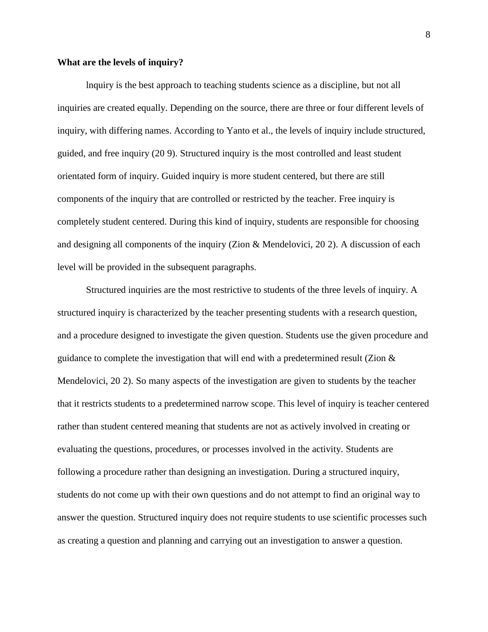#### **What are the levels of inquiry?**

lnquiry is the best approach to teaching students science as a discipline, but not all inquiries are created equally. Depending on the source, there are three or four different levels of inquiry, with differing names. According to Yanto et al., the levels of inquiry include structured, guided, and free inquiry (20 9). Structured inquiry is the most controlled and least student orientated form of inquiry. Guided inquiry is more student centered, but there are still components of the inquiry that are controlled or restricted by the teacher. Free inquiry is completely student centered. During this kind of inquiry, students are responsible for choosing and designing all components of the inquiry (Zion & Mendelovici, 20 2). A discussion of each level will be provided in the subsequent paragraphs.

Structured inquiries are the most restrictive to students of the three levels of inquiry. A structured inquiry is characterized by the teacher presenting students with a research question, and a procedure designed to investigate the given question. Students use the given procedure and guidance to complete the investigation that will end with a predetermined result (Zion & Mendelovici, 20 2). So many aspects of the investigation are given to students by the teacher that it restricts students to a predetermined narrow scope. This level of inquiry is teacher centered rather than student centered meaning that students are not as actively involved in creating or evaluating the questions, procedures, or processes involved in the activity. Students are following a procedure rather than designing an investigation. During a structured inquiry, students do not come up with their own questions and do not attempt to find an original way to answer the question. Structured inquiry does not require students to use scientific processes such as creating a question and planning and carrying out an investigation to answer a question.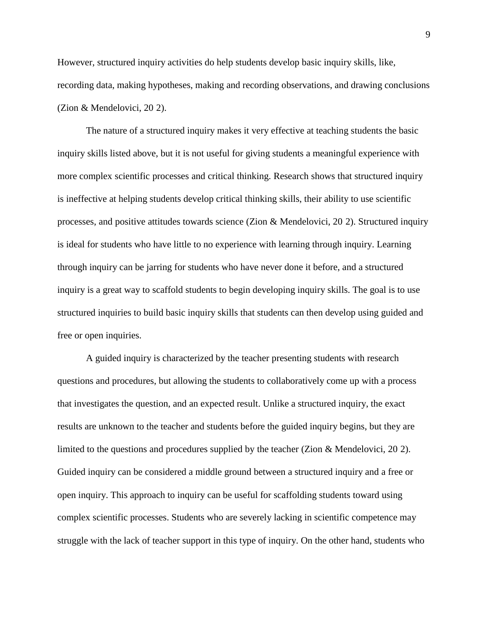However, structured inquiry activities do help students develop basic inquiry skills, like, recording data, making hypotheses, making and recording observations, and drawing conclusions (Zion & Mendelovici, 20 2).

The nature of a structured inquiry makes it very effective at teaching students the basic inquiry skills listed above, but it is not useful for giving students a meaningful experience with more complex scientific processes and critical thinking. Research shows that structured inquiry is ineffective at helping students develop critical thinking skills, their ability to use scientific processes, and positive attitudes towards science (Zion & Mendelovici, 20 2). Structured inquiry is ideal for students who have little to no experience with learning through inquiry. Learning through inquiry can be jarring for students who have never done it before, and a structured inquiry is a great way to scaffold students to begin developing inquiry skills. The goal is to use structured inquiries to build basic inquiry skills that students can then develop using guided and free or open inquiries.

A guided inquiry is characterized by the teacher presenting students with research questions and procedures, but allowing the students to collaboratively come up with a process that investigates the question, and an expected result. Unlike a structured inquiry, the exact results are unknown to the teacher and students before the guided inquiry begins, but they are limited to the questions and procedures supplied by the teacher (Zion & Mendelovici, 20 2). Guided inquiry can be considered a middle ground between a structured inquiry and a free or open inquiry. This approach to inquiry can be useful for scaffolding students toward using complex scientific processes. Students who are severely lacking in scientific competence may struggle with the lack of teacher support in this type of inquiry. On the other hand, students who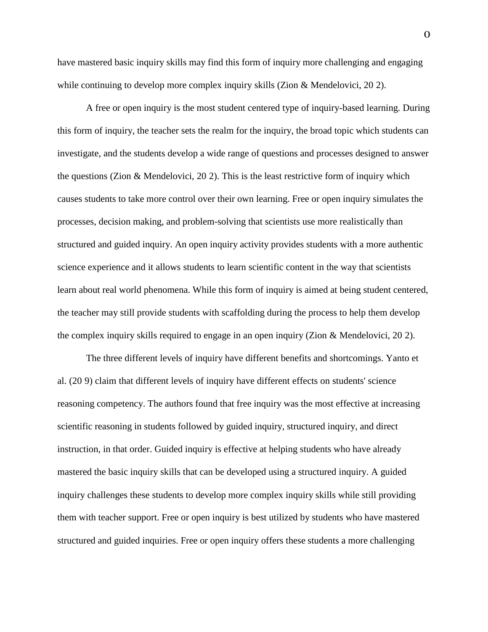have mastered basic inquiry skills may find this form of inquiry more challenging and engaging while continuing to develop more complex inquiry skills (Zion & Mendelovici, 20 2).

A free or open inquiry is the most student centered type of inquiry-based learning. During this form of inquiry, the teacher sets the realm for the inquiry, the broad topic which students can investigate, and the students develop a wide range of questions and processes designed to answer the questions (Zion & Mendelovici, 20 2). This is the least restrictive form of inquiry which causes students to take more control over their own learning. Free or open inquiry simulates the processes, decision making, and problem-solving that scientists use more realistically than structured and guided inquiry. An open inquiry activity provides students with a more authentic science experience and it allows students to learn scientific content in the way that scientists learn about real world phenomena. While this form of inquiry is aimed at being student centered, the teacher may still provide students with scaffolding during the process to help them develop the complex inquiry skills required to engage in an open inquiry (Zion & Mendelovici, 20 2).

The three different levels of inquiry have different benefits and shortcomings. Yanto et al. (20 9) claim that different levels of inquiry have different effects on students' science reasoning competency. The authors found that free inquiry was the most effective at increasing scientific reasoning in students followed by guided inquiry, structured inquiry, and direct instruction, in that order. Guided inquiry is effective at helping students who have already mastered the basic inquiry skills that can be developed using a structured inquiry. A guided inquiry challenges these students to develop more complex inquiry skills while still providing them with teacher support. Free or open inquiry is best utilized by students who have mastered structured and guided inquiries. Free or open inquiry offers these students a more challenging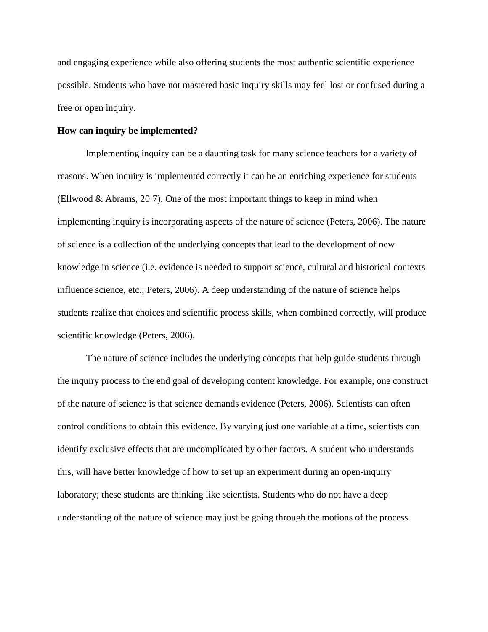and engaging experience while also offering students the most authentic scientific experience possible. Students who have not mastered basic inquiry skills may feel lost or confused during a free or open inquiry.

#### **How can inquiry be implemented?**

lmplementing inquiry can be a daunting task for many science teachers for a variety of reasons. When inquiry is implemented correctly it can be an enriching experience for students (Ellwood & Abrams, 20 7). One of the most important things to keep in mind when implementing inquiry is incorporating aspects of the nature of science (Peters, 2006). The nature of science is a collection of the underlying concepts that lead to the development of new knowledge in science (i.e. evidence is needed to support science, cultural and historical contexts influence science, etc.; Peters, 2006). A deep understanding of the nature of science helps students realize that choices and scientific process skills, when combined correctly, will produce scientific knowledge (Peters, 2006).

The nature of science includes the underlying concepts that help guide students through the inquiry process to the end goal of developing content knowledge. For example, one construct of the nature of science is that science demands evidence (Peters, 2006). Scientists can often control conditions to obtain this evidence. By varying just one variable at a time, scientists can identify exclusive effects that are uncomplicated by other factors. A student who understands this, will have better knowledge of how to set up an experiment during an open-inquiry laboratory; these students are thinking like scientists. Students who do not have a deep understanding of the nature of science may just be going through the motions of the process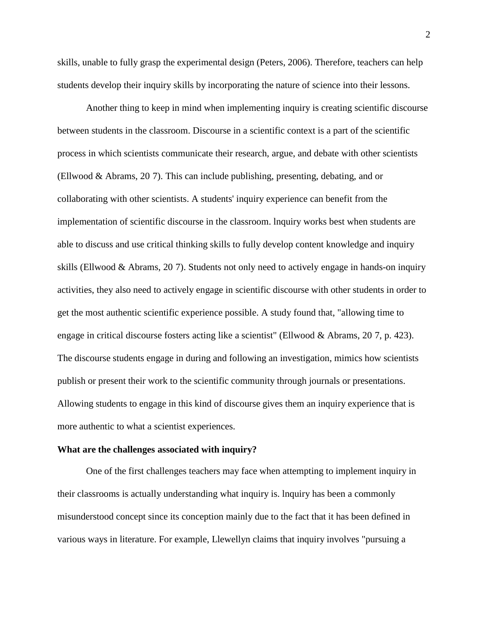skills, unable to fully grasp the experimental design (Peters, 2006). Therefore, teachers can help students develop their inquiry skills by incorporating the nature of science into their lessons.

Another thing to keep in mind when implementing inquiry is creating scientific discourse between students in the classroom. Discourse in a scientific context is a part of the scientific process in which scientists communicate their research, argue, and debate with other scientists (Ellwood & Abrams, 20 7). This can include publishing, presenting, debating, and or collaborating with other scientists. A students' inquiry experience can benefit from the implementation of scientific discourse in the classroom. lnquiry works best when students are able to discuss and use critical thinking skills to fully develop content knowledge and inquiry skills (Ellwood & Abrams, 20 7). Students not only need to actively engage in hands-on inquiry activities, they also need to actively engage in scientific discourse with other students in order to get the most authentic scientific experience possible. A study found that, "allowing time to engage in critical discourse fosters acting like a scientist" (Ellwood & Abrams, 20 7, p. 423). The discourse students engage in during and following an investigation, mimics how scientists publish or present their work to the scientific community through journals or presentations. Allowing students to engage in this kind of discourse gives them an inquiry experience that is more authentic to what a scientist experiences.

#### **What are the challenges associated with inquiry?**

One of the first challenges teachers may face when attempting to implement inquiry in their classrooms is actually understanding what inquiry is. lnquiry has been a commonly misunderstood concept since its conception mainly due to the fact that it has been defined in various ways in literature. For example, Llewellyn claims that inquiry involves "pursuing a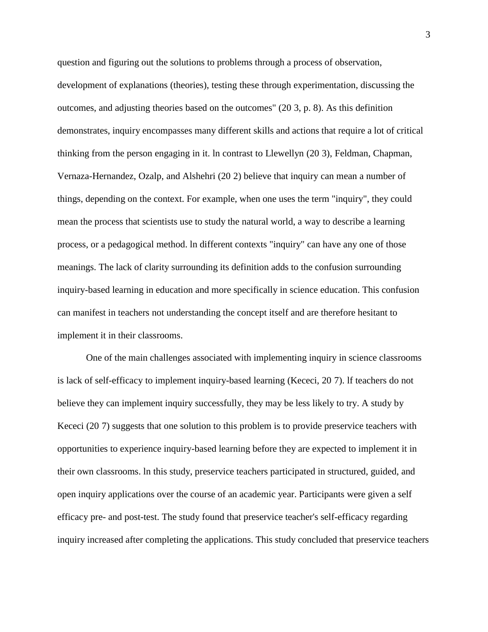question and figuring out the solutions to problems through a process of observation, development of explanations (theories), testing these through experimentation, discussing the outcomes, and adjusting theories based on the outcomes" (20 3, p. 8). As this definition demonstrates, inquiry encompasses many different skills and actions that require a lot of critical thinking from the person engaging in it. ln contrast to Llewellyn (20 3), Feldman, Chapman, Vernaza-Hernandez, Ozalp, and Alshehri (20 2) believe that inquiry can mean a number of things, depending on the context. For example, when one uses the term "inquiry", they could mean the process that scientists use to study the natural world, a way to describe a learning process, or a pedagogical method. ln different contexts "inquiry" can have any one of those meanings. The lack of clarity surrounding its definition adds to the confusion surrounding inquiry-based learning in education and more specifically in science education. This confusion can manifest in teachers not understanding the concept itself and are therefore hesitant to implement it in their classrooms.

One of the main challenges associated with implementing inquiry in science classrooms is lack of self-efficacy to implement inquiry-based learning (Kececi, 20 7). lf teachers do not believe they can implement inquiry successfully, they may be less likely to try. A study by Kececi (20 7) suggests that one solution to this problem is to provide preservice teachers with opportunities to experience inquiry-based learning before they are expected to implement it in their own classrooms. ln this study, preservice teachers participated in structured, guided, and open inquiry applications over the course of an academic year. Participants were given a self efficacy pre- and post-test. The study found that preservice teacher's self-efficacy regarding inquiry increased after completing the applications. This study concluded that preservice teachers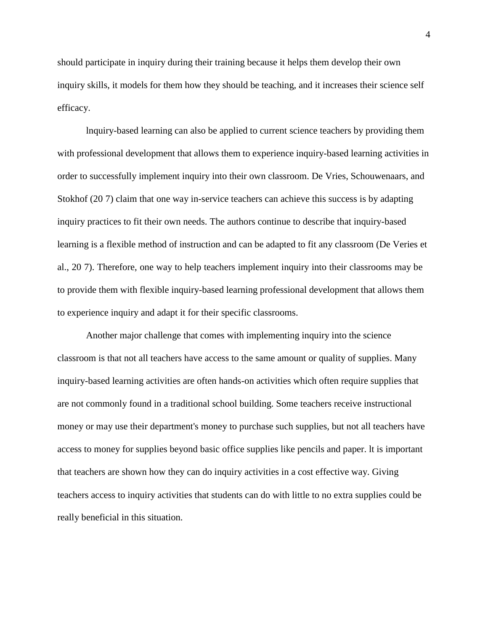should participate in inquiry during their training because it helps them develop their own inquiry skills, it models for them how they should be teaching, and it increases their science self efficacy.

lnquiry-based learning can also be applied to current science teachers by providing them with professional development that allows them to experience inquiry-based learning activities in order to successfully implement inquiry into their own classroom. De Vries, Schouwenaars, and Stokhof (20 7) claim that one way in-service teachers can achieve this success is by adapting inquiry practices to fit their own needs. The authors continue to describe that inquiry-based learning is a flexible method of instruction and can be adapted to fit any classroom (De Veries et al., 20 7). Therefore, one way to help teachers implement inquiry into their classrooms may be to provide them with flexible inquiry-based learning professional development that allows them to experience inquiry and adapt it for their specific classrooms.

Another major challenge that comes with implementing inquiry into the science classroom is that not all teachers have access to the same amount or quality of supplies. Many inquiry-based learning activities are often hands-on activities which often require supplies that are not commonly found in a traditional school building. Some teachers receive instructional money or may use their department's money to purchase such supplies, but not all teachers have access to money for supplies beyond basic office supplies like pencils and paper. lt is important that teachers are shown how they can do inquiry activities in a cost effective way. Giving teachers access to inquiry activities that students can do with little to no extra supplies could be really beneficial in this situation.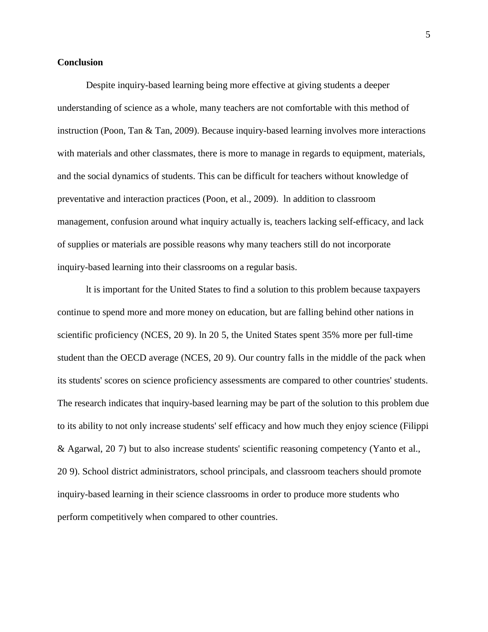#### **Conclusion**

Despite inquiry-based learning being more effective at giving students a deeper understanding of science as a whole, many teachers are not comfortable with this method of instruction (Poon, Tan & Tan, 2009). Because inquiry-based learning involves more interactions with materials and other classmates, there is more to manage in regards to equipment, materials, and the social dynamics of students. This can be difficult for teachers without knowledge of preventative and interaction practices (Poon, et al., 2009). ln addition to classroom management, confusion around what inquiry actually is, teachers lacking self-efficacy, and lack of supplies or materials are possible reasons why many teachers still do not incorporate inquiry-based learning into their classrooms on a regular basis.

lt is important for the United States to find a solution to this problem because taxpayers continue to spend more and more money on education, but are falling behind other nations in scientific proficiency (NCES, 20 9). ln 20 5, the United States spent 35% more per full-time student than the OECD average (NCES, 20 9). Our country falls in the middle of the pack when its students' scores on science proficiency assessments are compared to other countries' students. The research indicates that inquiry-based learning may be part of the solution to this problem due to its ability to not only increase students' self efficacy and how much they enjoy science (Filippi & Agarwal, 20 7) but to also increase students' scientific reasoning competency (Yanto et al., 20 9). School district administrators, school principals, and classroom teachers should promote inquiry-based learning in their science classrooms in order to produce more students who perform competitively when compared to other countries.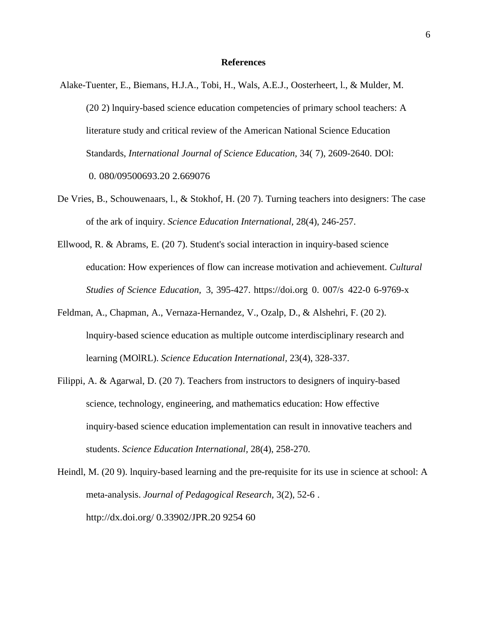#### **References**

- Alake-Tuenter, E., Biemans, H.J.A., Tobi, H., Wals, A.E.J., Oosterheert, l., & Mulder, M. (20 2) lnquiry-based science education competencies of primary school teachers: A literature study and critical review of the American National Science Education Standards, *International Journal of Science Education,* 34( 7), 2609-2640. DOl: 0. 080/09500693.20 2.669076
- De Vries, B., Schouwenaars, l., & Stokhof, H. (20 7). Turning teachers into designers: The case of the ark of inquiry. *Science Education International,* 28(4), 246-257.
- Ellwood, R. & Abrams, E. (20 7). Student's social interaction in inquiry-based science education: How experiences of flow can increase motivation and achievement. *Cultural Studies of Science Education,* 3, 395-427. https://doi.org 0. 007/s 422-0 6-9769-x
- Feldman, A., Chapman, A., Vernaza-Hernandez, V., Ozalp, D., & Alshehri, F. (20 2). lnquiry-based science education as multiple outcome interdisciplinary research and learning (MOlRL). *Science Education International,* 23(4), 328-337.
- Filippi, A. & Agarwal, D. (20 7). Teachers from instructors to designers of inquiry-based science, technology, engineering, and mathematics education: How effective inquiry-based science education implementation can result in innovative teachers and students. *Science Education International,* 28(4), 258-270.
- Heindl, M. (20 9). lnquiry-based learning and the pre-requisite for its use in science at school: A meta-analysis. *Journal of Pedagogical Research,* 3(2), 52-6 . <http://dx.doi.org/> 0.33902/JPR.20 9254 60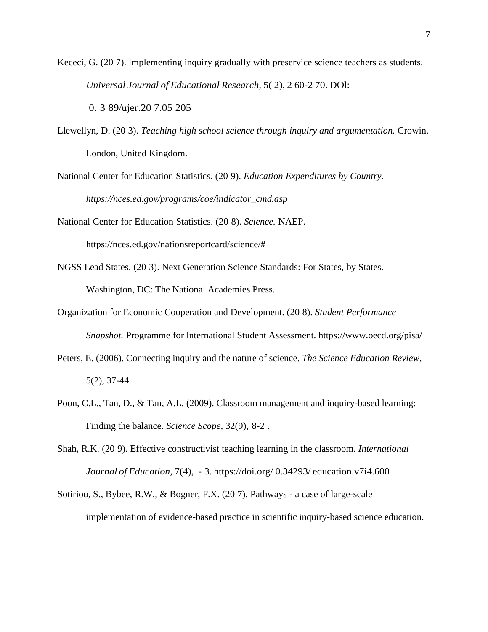Kececi, G. (20 7). lmplementing inquiry gradually with preservice science teachers as students. *Universal Journal of Educational Research,* 5( 2), 2 60-2 70. DOl:

0. 3 89/ujer.20 7.05 205

Llewellyn, D. (20 3). *Teaching high school science through inquiry and argumentation.* Crowin. London, United Kingdom.

National Center for Education Statistics. (20 9). *Education Expenditures by Country. https://nces.ed.gov/programs/coe/indicator\_cmd.asp*

National Center for Education Statistics. (20 8). *Science.* NAEP. https://nces.ed.gov/nationsreportcard/science/#

- NGSS Lead States. (20 3). Next Generation Science Standards: For States, by States. Washington, DC: The National Academies Press.
- Organization for Economic Cooperation and Development. (20 8). *Student Performance Snapshot.* Programme for lnternational Student Assessment. https:/[/www.oecd.org/pisa/](http://www.oecd.org/pisa/)
- Peters, E. (2006). Connecting inquiry and the nature of science. *The Science Education Review,* 5(2), 37-44.
- Poon, C.L., Tan, D., & Tan, A.L. (2009). Classroom management and inquiry-based learning: Finding the balance. *Science Scope,* 32(9), 8-2 .
- Shah, R.K. (20 9). Effective constructivist teaching learning in the classroom. *International Journal of Education,* 7(4), - 3. https://doi.org/ 0.34293/ education.v7i4.600

Sotiriou, S., Bybee, R.W., & Bogner, F.X. (20 7). Pathways - a case of large-scale implementation of evidence-based practice in scientific inquiry-based science education.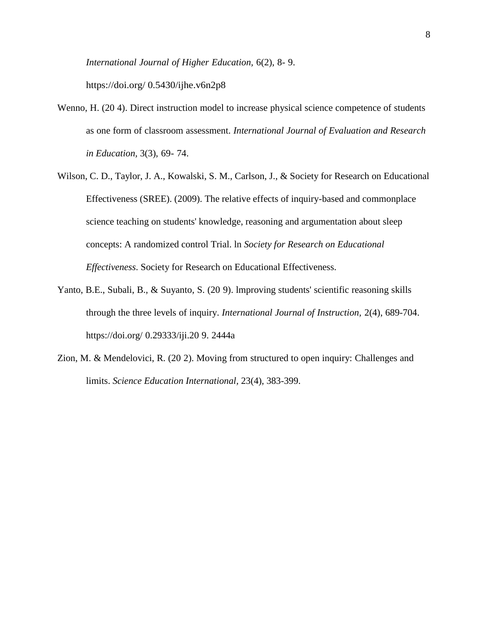*International Journal of Higher Education,* 6(2), 8- 9.

https://doi.org/ 0.5430/ijhe.v6n2p8

- Wenno, H. (20 4). Direct instruction model to increase physical science competence of students as one form of classroom assessment. *International Journal of Evaluation and Research in Education,* 3(3), 69- 74.
- Wilson, C. D., Taylor, J. A., Kowalski, S. M., Carlson, J., & Society for Research on Educational Effectiveness (SREE). (2009). The relative effects of inquiry-based and commonplace science teaching on students' knowledge, reasoning and argumentation about sleep concepts: A randomized control Trial. ln *Society for Research on Educational Effectiveness*. Society for Research on Educational Effectiveness.
- Yanto, B.E., Subali, B., & Suyanto, S. (20 9). lmproving students' scientific reasoning skills through the three levels of inquiry. *International Journal of Instruction,* 2(4), 689-704. https://doi.org/ 0.29333/iji.20 9. 2444a
- Zion, M. & Mendelovici, R. (20 2). Moving from structured to open inquiry: Challenges and limits. *Science Education International,* 23(4), 383-399.